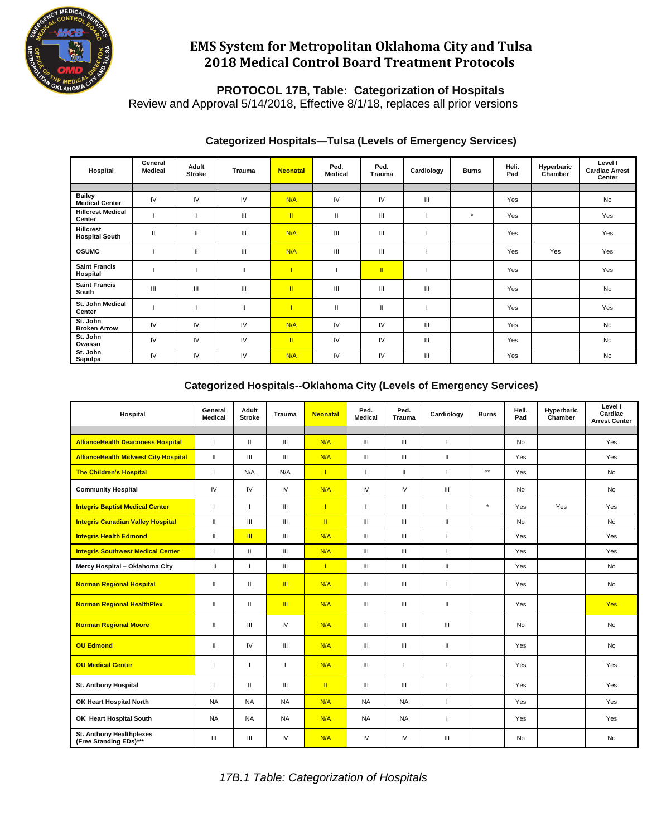

# **EMS System for Metropolitan Oklahoma City and Tulsa 2018 Medical Control Board Treatment Protocols**

### **PROTOCOL 17B, Table: Categorization of Hospitals**

Review and Approval 5/14/2018, Effective 8/1/18, replaces all prior versions

| Hospital                                  | General<br><b>Medical</b> | Adult<br><b>Stroke</b> | <b>Trauma</b>                         | <b>Neonatal</b> | Ped.<br><b>Medical</b> | Ped.<br><b>Trauma</b> | Cardiology | <b>Burns</b> | Heli.<br>Pad | Hyperbaric<br>Chamber | Level I<br><b>Cardiac Arrest</b><br>Center |
|-------------------------------------------|---------------------------|------------------------|---------------------------------------|-----------------|------------------------|-----------------------|------------|--------------|--------------|-----------------------|--------------------------------------------|
|                                           |                           |                        |                                       |                 |                        |                       |            |              |              |                       |                                            |
| <b>Bailey</b><br><b>Medical Center</b>    | IV                        | IV                     | IV                                    | N/A             | IV                     | IV                    | Ш          |              | Yes          |                       | No                                         |
| <b>Hillcrest Medical</b><br>Center        |                           |                        | $\mathbf{III}$                        | $\mathbf{H}$    | $\mathbf{H}$           | $\mathbf{III}$        |            | $\star$      | Yes          |                       | Yes                                        |
| <b>Hillcrest</b><br><b>Hospital South</b> | $\mathbf{I}$              | $\mathbf{H}$           | $\mathbf{III}$                        | N/A             | Ш                      | $\mathbf{III}$        |            |              | Yes          |                       | Yes                                        |
| <b>OSUMC</b>                              |                           | $\mathbf{H}$           | $\mathbf{III}$                        | N/A             | Ш                      | $\mathbf{III}$        |            |              | Yes          | Yes                   | Yes                                        |
| <b>Saint Francis</b><br>Hospital          |                           |                        | $\begin{array}{c} \hline \end{array}$ | $\mathbf{L}$    |                        | $\mathbf{H}$          |            |              | Yes          |                       | Yes                                        |
| <b>Saint Francis</b><br>South             | $\mathbf{III}$            | Ш                      | $\mathbf{III}$                        | $\mathbb{I}$    | Ш                      | $\mathbf{III}$        | Ш          |              | Yes          |                       | No                                         |
| St. John Medical<br>Center                |                           |                        | $\begin{array}{c} \hline \end{array}$ |                 | $\mathbf{H}$           | $\mathbf{H}$          |            |              | Yes          |                       | Yes                                        |
| St. John<br><b>Broken Arrow</b>           | IV                        | IV                     | IV                                    | N/A             | IV                     | IV                    | Ш          |              | Yes          |                       | <b>No</b>                                  |
| St. John<br>Owasso                        | IV                        | IV                     | IV                                    | $\mathbf{H}$    | IV                     | IV                    | Ш          |              | Yes          |                       | <b>No</b>                                  |
| St. John<br>Sapulpa                       | IV                        | IV                     | IV                                    | N/A             | IV                     | IV                    | Ш          |              | Yes          |                       | No                                         |

#### **Categorized Hospitals—Tulsa (Levels of Emergency Services)**

### **Categorized Hospitals--Oklahoma City (Levels of Emergency Services)**

| Hospital                                                  | General<br><b>Medical</b> | Adult<br><b>Stroke</b> | Trauma                             | <b>Neonatal</b> | Ped.<br><b>Medical</b> | Ped.<br>Trauma | Cardiology               | <b>Burns</b> | Heli.<br>Pad | Hyperbaric<br>Chamber | Level I<br>Cardiac<br><b>Arrest Center</b> |
|-----------------------------------------------------------|---------------------------|------------------------|------------------------------------|-----------------|------------------------|----------------|--------------------------|--------------|--------------|-----------------------|--------------------------------------------|
|                                                           |                           |                        |                                    |                 |                        |                |                          |              |              |                       |                                            |
| <b>AllianceHealth Deaconess Hospital</b>                  |                           | $\mathbf{H}$           | III                                | N/A             | III                    | III            | $\mathbf{I}$             |              | <b>No</b>    |                       | Yes                                        |
| <b>AllianceHealth Midwest City Hospital</b>               | $\mathbf{H}$              | III                    | III                                | N/A             | Ш                      | III            | $\mathbf{I}$             |              | Yes          |                       | Yes                                        |
| <b>The Children's Hospital</b>                            |                           | N/A                    | N/A                                | $\mathbf{I}$    | ı                      | Ш              | J.                       | $***$        | Yes          |                       | <b>No</b>                                  |
| <b>Community Hospital</b>                                 | IV                        | IV                     | IV                                 | N/A             | IV                     | IV             | $\  \ $                  |              | <b>No</b>    |                       | <b>No</b>                                  |
| <b>Integris Baptist Medical Center</b>                    | т                         | п                      | III                                | $\mathbf{I}$    | L                      | III            | $\mathbf{I}$             | $^\star$     | Yes          | Yes                   | Yes                                        |
| <b>Integris Canadian Valley Hospital</b>                  | $\mathbf{H}$              | III                    | III                                | $\mathbf{H}$    | Ш                      | Ш              | $\mathbf{I}$             |              | <b>No</b>    |                       | <b>No</b>                                  |
| <b>Integris Health Edmond</b>                             | $\mathbf{H}$              | $\mathbf{m}$           | III                                | N/A             | Ш                      | Ш              | J.                       |              | Yes          |                       | Yes                                        |
| <b>Integris Southwest Medical Center</b>                  | т                         | Ш                      | III                                | N/A             | Ш                      | Ш              | $\overline{\phantom{a}}$ |              | Yes          |                       | Yes                                        |
| Mercy Hospital - Oklahoma City                            | $\mathbf{H}$              |                        | $\ensuremath{\mathsf{III}}\xspace$ | $\mathbf{I}$    | Ш                      | Ш              | $\mathbf{I}$             |              | Yes          |                       | <b>No</b>                                  |
| <b>Norman Regional Hospital</b>                           | $\mathbf{I}$              | Ш                      | $\mathbf{m}$                       | N/A             | Ш                      | Ш              | J.                       |              | Yes          |                       | No                                         |
| <b>Norman Regional HealthPlex</b>                         | $\mathbf{H}$              | $\mathbf{H}$           | $\mathbb{H}$                       | N/A             | Ш                      | Ш              | $\mathbf{I}$             |              | Yes          |                       | <b>Yes</b>                                 |
| <b>Norman Regional Moore</b>                              | $\mathbf{I}$              | Ш                      | ${\sf IV}$                         | N/A             | Ш                      | Ш              | $\mathbf{III}$           |              | No           |                       | No                                         |
| <b>OU Edmond</b>                                          | Ш                         | IV                     | III                                | N/A             | Ш                      | Ш              | $\mathbf{I}$             |              | Yes          |                       | <b>No</b>                                  |
| <b>OU Medical Center</b>                                  |                           |                        | $\mathbf{I}$                       | N/A             | Ш                      | ı              | $\mathbf{I}$             |              | Yes          |                       | Yes                                        |
| St. Anthony Hospital                                      |                           | Ш                      | Ш                                  | $\mathbf{II}$   | Ш                      | Ш              | J.                       |              | <b>Yes</b>   |                       | Yes                                        |
| OK Heart Hospital North                                   | <b>NA</b>                 | <b>NA</b>              | <b>NA</b>                          | N/A             | <b>NA</b>              | <b>NA</b>      | л.                       |              | Yes          |                       | Yes                                        |
| OK Heart Hospital South                                   | <b>NA</b>                 | <b>NA</b>              | <b>NA</b>                          | N/A             | <b>NA</b>              | <b>NA</b>      | $\mathbf{I}$             |              | Yes          |                       | Yes                                        |
| <b>St. Anthony Healthplexes</b><br>(Free Standing EDs)*** | Ш                         | Ш                      | IV                                 | N/A             | IV                     | IV             | Ш                        |              | <b>No</b>    |                       | <b>No</b>                                  |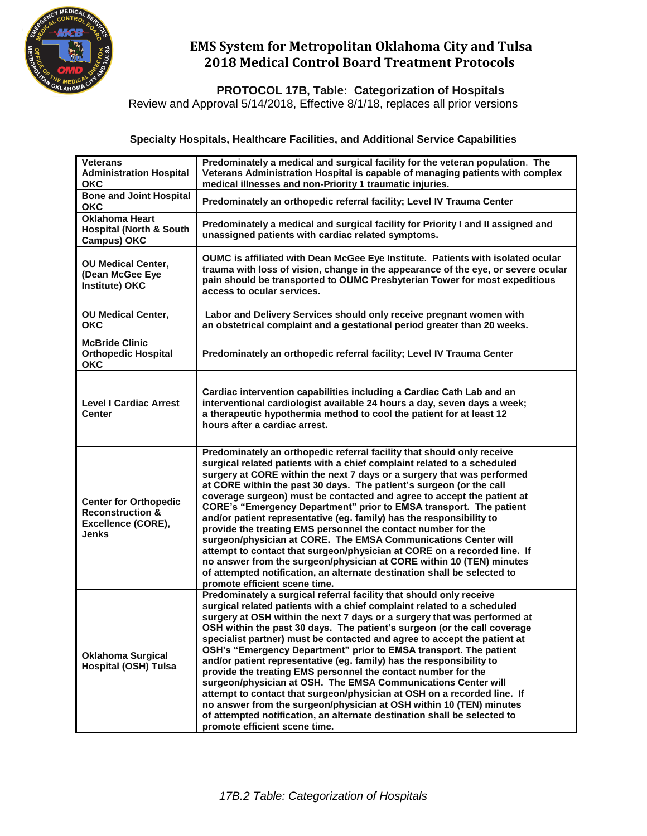

# **EMS System for Metropolitan Oklahoma City and Tulsa 2018 Medical Control Board Treatment Protocols**

 **PROTOCOL 17B, Table: Categorization of Hospitals**

Review and Approval 5/14/2018, Effective 8/1/18, replaces all prior versions

### **Specialty Hospitals, Healthcare Facilities, and Additional Service Capabilities**

| <b>Veterans</b><br><b>Administration Hospital</b><br><b>OKC</b>                                   | Predominately a medical and surgical facility for the veteran population. The<br>Veterans Administration Hospital is capable of managing patients with complex<br>medical illnesses and non-Priority 1 traumatic injuries.                                                                                                                                                                                                                                                                                                                                                                                                                                                                                                                                                                                                                                                                                                       |
|---------------------------------------------------------------------------------------------------|----------------------------------------------------------------------------------------------------------------------------------------------------------------------------------------------------------------------------------------------------------------------------------------------------------------------------------------------------------------------------------------------------------------------------------------------------------------------------------------------------------------------------------------------------------------------------------------------------------------------------------------------------------------------------------------------------------------------------------------------------------------------------------------------------------------------------------------------------------------------------------------------------------------------------------|
| <b>Bone and Joint Hospital</b><br><b>OKC</b>                                                      | Predominately an orthopedic referral facility; Level IV Trauma Center                                                                                                                                                                                                                                                                                                                                                                                                                                                                                                                                                                                                                                                                                                                                                                                                                                                            |
| <b>Oklahoma Heart</b><br><b>Hospital (North &amp; South</b><br><b>Campus) OKC</b>                 | Predominately a medical and surgical facility for Priority I and II assigned and<br>unassigned patients with cardiac related symptoms.                                                                                                                                                                                                                                                                                                                                                                                                                                                                                                                                                                                                                                                                                                                                                                                           |
| <b>OU Medical Center,</b><br>(Dean McGee Eye<br>Institute) OKC                                    | OUMC is affiliated with Dean McGee Eye Institute. Patients with isolated ocular<br>trauma with loss of vision, change in the appearance of the eye, or severe ocular<br>pain should be transported to OUMC Presbyterian Tower for most expeditious<br>access to ocular services.                                                                                                                                                                                                                                                                                                                                                                                                                                                                                                                                                                                                                                                 |
| <b>OU Medical Center,</b><br><b>OKC</b>                                                           | Labor and Delivery Services should only receive pregnant women with<br>an obstetrical complaint and a gestational period greater than 20 weeks.                                                                                                                                                                                                                                                                                                                                                                                                                                                                                                                                                                                                                                                                                                                                                                                  |
| <b>McBride Clinic</b><br><b>Orthopedic Hospital</b><br><b>OKC</b>                                 | Predominately an orthopedic referral facility; Level IV Trauma Center                                                                                                                                                                                                                                                                                                                                                                                                                                                                                                                                                                                                                                                                                                                                                                                                                                                            |
| <b>Level I Cardiac Arrest</b><br><b>Center</b>                                                    | Cardiac intervention capabilities including a Cardiac Cath Lab and an<br>interventional cardiologist available 24 hours a day, seven days a week;<br>a therapeutic hypothermia method to cool the patient for at least 12<br>hours after a cardiac arrest.                                                                                                                                                                                                                                                                                                                                                                                                                                                                                                                                                                                                                                                                       |
| <b>Center for Orthopedic</b><br><b>Reconstruction &amp;</b><br>Excellence (CORE),<br><b>Jenks</b> | Predominately an orthopedic referral facility that should only receive<br>surgical related patients with a chief complaint related to a scheduled<br>surgery at CORE within the next 7 days or a surgery that was performed<br>at CORE within the past 30 days. The patient's surgeon (or the call<br>coverage surgeon) must be contacted and agree to accept the patient at<br>CORE's "Emergency Department" prior to EMSA transport. The patient<br>and/or patient representative (eg. family) has the responsibility to<br>provide the treating EMS personnel the contact number for the<br>surgeon/physician at CORE. The EMSA Communications Center will<br>attempt to contact that surgeon/physician at CORE on a recorded line. If<br>no answer from the surgeon/physician at CORE within 10 (TEN) minutes<br>of attempted notification, an alternate destination shall be selected to<br>promote efficient scene time.   |
| <b>Oklahoma Surgical</b><br><b>Hospital (OSH) Tulsa</b>                                           | Predominately a surgical referral facility that should only receive<br>surgical related patients with a chief complaint related to a scheduled<br>surgery at OSH within the next 7 days or a surgery that was performed at<br>OSH within the past 30 days. The patient's surgeon (or the call coverage<br>specialist partner) must be contacted and agree to accept the patient at<br>OSH's "Emergency Department" prior to EMSA transport. The patient<br>and/or patient representative (eg. family) has the responsibility to<br>provide the treating EMS personnel the contact number for the<br>surgeon/physician at OSH. The EMSA Communications Center will<br>attempt to contact that surgeon/physician at OSH on a recorded line. If<br>no answer from the surgeon/physician at OSH within 10 (TEN) minutes<br>of attempted notification, an alternate destination shall be selected to<br>promote efficient scene time. |